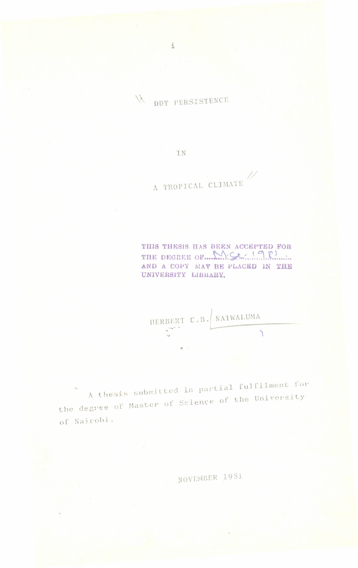N DDT PERSISTENCE

IN

A TROPICAL CLIMATE

THIS THESIS HAS BEEN ACCEPTED FOR THE DEGREE OF MISE 198 AND A COPY MAY BE PLACED IN THE UNIVERSITY LIBRARY.

HERBERT C.B. NATWALUMA  $\overline{\phantom{0}}$ 

A thesis submitted in partial fulfilment for the degree of Master of Science of the University of Nairobi.

NOVEMBER 1981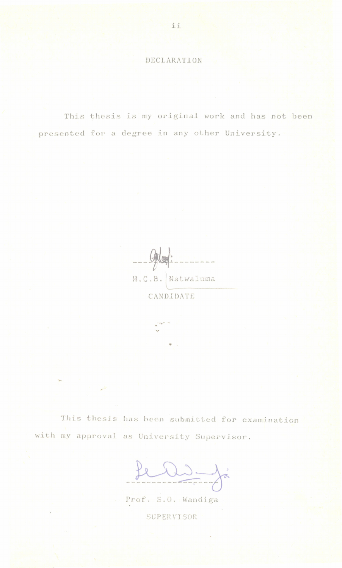## DECLARATION

This thesis is my original work and has not been presented for a degree in any other University.

 $-94$ H.C.B. Natwaluma

CANDIDATE

This thesis has been submitted for examination with my approval as University Supervisor.

feld ja

Prof. S.O. Wandiga

SUPERVISOR